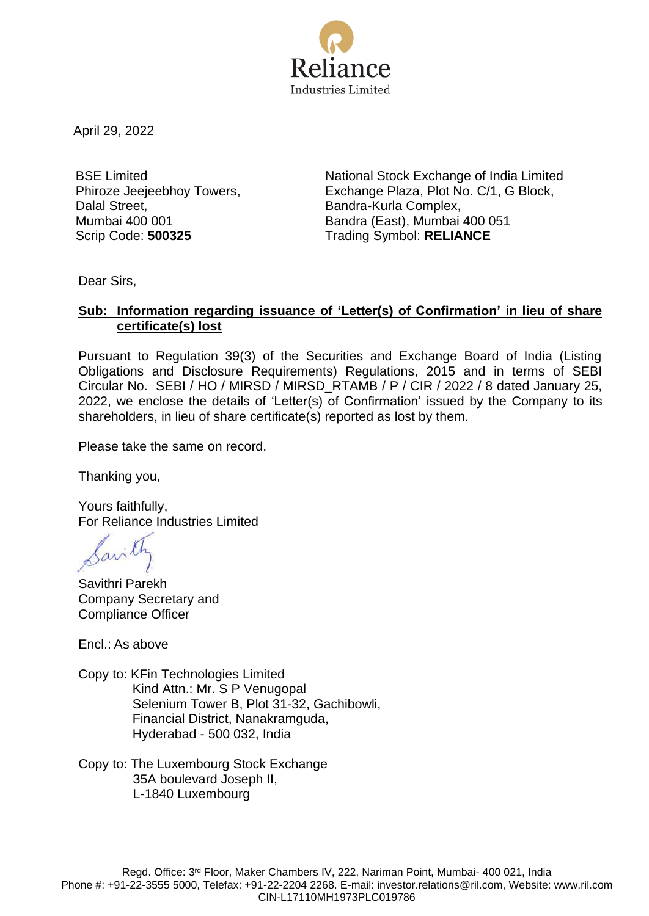

April 29, 2022

BSE Limited Phiroze Jeejeebhoy Towers, Dalal Street, Mumbai 400 001

National Stock Exchange of India Limited Exchange Plaza, Plot No. C/1, G Block, Bandra-Kurla Complex, Bandra (East), Mumbai 400 051 Scrip Code: **500325** Trading Symbol: **RELIANCE**

Dear Sirs,

### **Sub: Information regarding issuance of 'Letter(s) of Confirmation' in lieu of share certificate(s) lost**

Pursuant to Regulation 39(3) of the Securities and Exchange Board of India (Listing Obligations and Disclosure Requirements) Regulations, 2015 and in terms of SEBI Circular No. SEBI / HO / MIRSD / MIRSD\_RTAMB / P / CIR / 2022 / 8 dated January 25, 2022, we enclose the details of 'Letter(s) of Confirmation' issued by the Company to its shareholders, in lieu of share certificate(s) reported as lost by them.

Please take the same on record.

Thanking you,

Yours faithfully, For Reliance Industries Limited

Sarith

Savithri Parekh Company Secretary and Compliance Officer

Encl.: As above

- Copy to: KFin Technologies Limited Kind Attn.: Mr. S P Venugopal Selenium Tower B, Plot 31-32, Gachibowli, Financial District, Nanakramguda, Hyderabad - 500 032, India
- Copy to: The Luxembourg Stock Exchange 35A boulevard Joseph II, L-1840 Luxembourg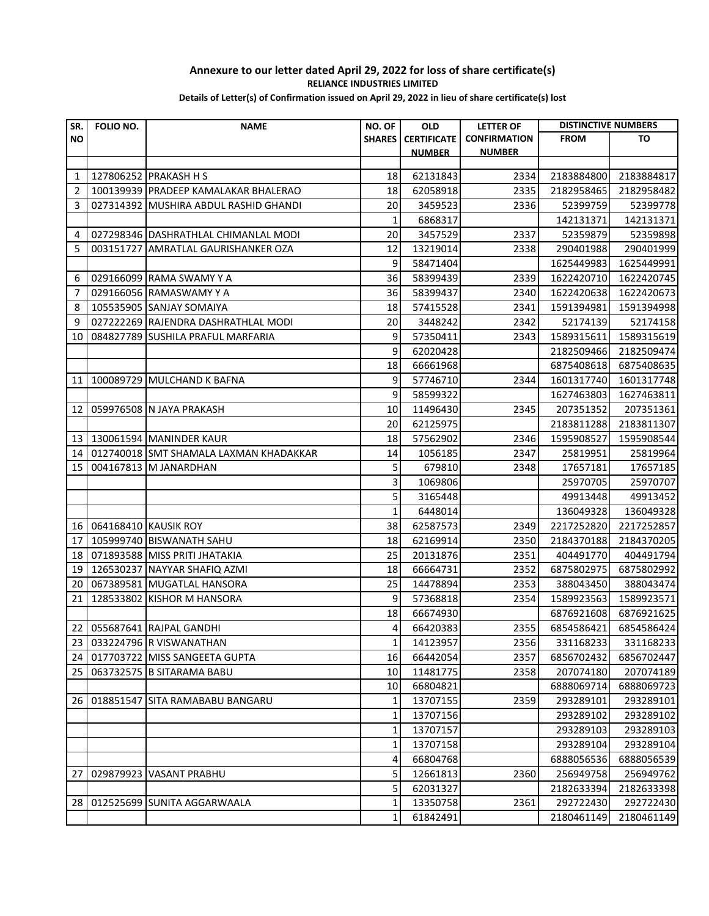| SR.            | FOLIO NO. | <b>NAME</b>                            | NO. OF        | <b>OLD</b>         | <b>LETTER OF</b>    | <b>DISTINCTIVE NUMBERS</b> |            |
|----------------|-----------|----------------------------------------|---------------|--------------------|---------------------|----------------------------|------------|
| <b>NO</b>      |           |                                        | <b>SHARES</b> | <b>CERTIFICATE</b> | <b>CONFIRMATION</b> | <b>FROM</b>                | то         |
|                |           |                                        |               | <b>NUMBER</b>      | <b>NUMBER</b>       |                            |            |
|                |           |                                        |               |                    |                     |                            |            |
| 1              |           | 127806252 PRAKASH H S                  | 18            | 62131843           | 2334                | 2183884800                 | 2183884817 |
| $\overline{2}$ |           | 100139939 PRADEEP KAMALAKAR BHALERAO   | 18            | 62058918           | 2335                | 2182958465                 | 2182958482 |
| 3              |           | 027314392 MUSHIRA ABDUL RASHID GHANDI  | 20            | 3459523            | 2336                | 52399759                   | 52399778   |
|                |           |                                        | $\mathbf{1}$  | 6868317            |                     | 142131371                  | 142131371  |
| 4              |           | 027298346 DASHRATHLAL CHIMANLAL MODI   | 20            | 3457529            | 2337                | 52359879                   | 52359898   |
| 5              |           | 003151727 AMRATLAL GAURISHANKER OZA    | 12            | 13219014           | 2338                | 290401988                  | 290401999  |
|                |           |                                        | 9             | 58471404           |                     | 1625449983                 | 1625449991 |
| 6              |           | 029166099 RAMA SWAMY Y A               | 36            | 58399439           | 2339                | 1622420710                 | 1622420745 |
| 7              |           | 029166056 RAMASWAMY Y A                | 36            | 58399437           | 2340                | 1622420638                 | 1622420673 |
| 8              |           | 105535905 SANJAY SOMAIYA               | 18            | 57415528           | 2341                | 1591394981                 | 1591394998 |
| 9              |           | 027222269 RAJENDRA DASHRATHLAL MODI    | 20            | 3448242            | 2342                | 52174139                   | 52174158   |
| 10             |           | 084827789 SUSHILA PRAFUL MARFARIA      | 9             | 57350411           | 2343                | 1589315611                 | 1589315619 |
|                |           |                                        | 9             | 62020428           |                     | 2182509466                 | 2182509474 |
|                |           |                                        | 18            | 66661968           |                     | 6875408618                 | 6875408635 |
| 11             |           | 100089729 MULCHAND K BAFNA             | 9             | 57746710           | 2344                | 1601317740                 | 1601317748 |
|                |           |                                        | 9             | 58599322           |                     | 1627463803                 | 1627463811 |
| 12             |           | 059976508 N JAYA PRAKASH               | 10            | 11496430           | 2345                | 207351352                  | 207351361  |
|                |           |                                        | 20            | 62125975           |                     | 2183811288                 | 2183811307 |
| 13             |           | 130061594 MANINDER KAUR                | 18            | 57562902           | 2346                | 1595908527                 | 1595908544 |
| 14             |           | 012740018 SMT SHAMALA LAXMAN KHADAKKAR | 14            | 1056185            | 2347                | 25819951                   | 25819964   |
| 15             |           | 004167813 M JANARDHAN                  | 5             | 679810             | 2348                | 17657181                   | 17657185   |
|                |           |                                        | 3             | 1069806            |                     | 25970705                   | 25970707   |
|                |           |                                        | 5             | 3165448            |                     | 49913448                   | 49913452   |
|                |           |                                        | $\mathbf{1}$  | 6448014            |                     | 136049328                  | 136049328  |
| 16             |           | 064168410 KAUSIK ROY                   | 38            | 62587573           | 2349                | 2217252820                 | 2217252857 |
| 17             |           | 105999740 BISWANATH SAHU               | 18            | 62169914           | 2350                | 2184370188                 | 2184370205 |
| 18             |           | 071893588 MISS PRITI JHATAKIA          | 25            | 20131876           | 2351                | 404491770                  | 404491794  |
| 19             |           | 126530237 NAYYAR SHAFIQ AZMI           | 18            | 66664731           | 2352                | 6875802975                 | 6875802992 |
| 20             |           | 067389581 MUGATLAL HANSORA             | 25            | 14478894           | 2353                | 388043450                  | 388043474  |
| 21             |           | 128533802 KISHOR M HANSORA             | 9             | 57368818           | 2354                | 1589923563                 | 1589923571 |
|                |           |                                        | 18            | 66674930           |                     | 6876921608                 | 6876921625 |
| 22             |           | 055687641 RAJPAL GANDHI                | 4             | 66420383           | 2355                | 6854586421                 | 6854586424 |
|                |           | 23 033224796 R VISWANATHAN             | $\mathbf{1}$  | 14123957           | 2356                | 331168233                  | 331168233  |
| 24             |           | 017703722 MISS SANGEETA GUPTA          | 16            | 66442054           | 2357                | 6856702432                 | 6856702447 |
| 25             |           | 063732575 B SITARAMA BABU              | 10            | 11481775           | 2358                | 207074180                  | 207074189  |
|                |           |                                        | 10            | 66804821           |                     | 6888069714                 | 6888069723 |
| 26             |           | 018851547 SITA RAMABABU BANGARU        | 1             | 13707155           | 2359                | 293289101                  | 293289101  |
|                |           |                                        | 1             | 13707156           |                     | 293289102                  | 293289102  |
|                |           |                                        | $\mathbf{1}$  | 13707157           |                     | 293289103                  | 293289103  |
|                |           |                                        | $\mathbf{1}$  | 13707158           |                     | 293289104                  | 293289104  |
|                |           |                                        | 4             | 66804768           |                     | 6888056536                 | 6888056539 |
| 27             |           | 029879923 VASANT PRABHU                | 5             | 12661813           | 2360                | 256949758                  | 256949762  |
|                |           |                                        | 5             | 62031327           |                     | 2182633394                 | 2182633398 |
| 28             |           | 012525699 SUNITA AGGARWAALA            | $\mathbf{1}$  | 13350758           | 2361                | 292722430                  | 292722430  |
|                |           |                                        | $\mathbf{1}$  | 61842491           |                     | 2180461149                 | 2180461149 |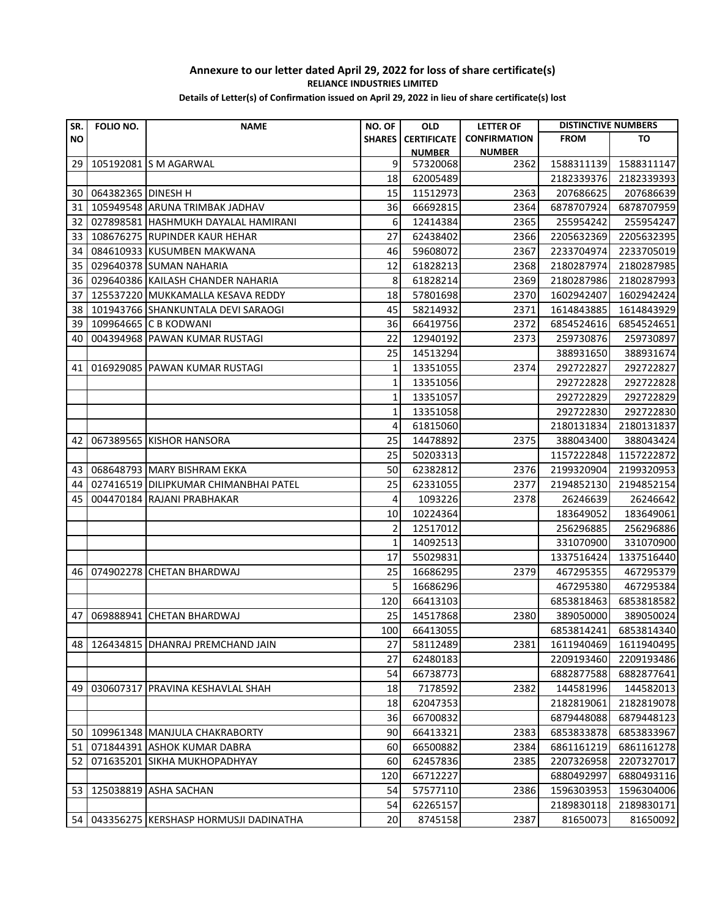| SR.       | FOLIO NO.          | <b>NAME</b>                             | NO. OF         | <b>OLD</b>         | <b>LETTER OF</b>    | <b>DISTINCTIVE NUMBERS</b> |            |
|-----------|--------------------|-----------------------------------------|----------------|--------------------|---------------------|----------------------------|------------|
| <b>NO</b> |                    |                                         | <b>SHARES</b>  | <b>CERTIFICATE</b> | <b>CONFIRMATION</b> | <b>FROM</b>                | TO         |
|           |                    |                                         |                | <b>NUMBER</b>      | <b>NUMBER</b>       |                            |            |
| 29        |                    | 105192081 S M AGARWAL                   | 9              | 57320068           | 2362                | 1588311139                 | 1588311147 |
|           |                    |                                         | 18             | 62005489           |                     | 2182339376                 | 2182339393 |
| 30        | 064382365 DINESH H |                                         | 15             | 11512973           | 2363                | 207686625                  | 207686639  |
| 31        |                    | 105949548 ARUNA TRIMBAK JADHAV          | 36             | 66692815           | 2364                | 6878707924                 | 6878707959 |
| 32        |                    | 027898581 HASHMUKH DAYALAL HAMIRANI     | 6              | 12414384           | 2365                | 255954242                  | 255954247  |
| 33        |                    | 108676275 RUPINDER KAUR HEHAR           | 27             | 62438402           | 2366                | 2205632369                 | 2205632395 |
| 34        |                    | 084610933 KUSUMBEN MAKWANA              | 46             | 59608072           | 2367                | 2233704974                 | 2233705019 |
| 35        |                    | 029640378 SUMAN NAHARIA                 | 12             | 61828213           | 2368                | 2180287974                 | 2180287985 |
| 36        |                    | 029640386 KAILASH CHANDER NAHARIA       | 8              | 61828214           | 2369                | 2180287986                 | 2180287993 |
| 37        |                    | 125537220 MUKKAMALLA KESAVA REDDY       | 18             | 57801698           | 2370                | 1602942407                 | 1602942424 |
| 38        |                    | 101943766 SHANKUNTALA DEVI SARAOGI      | 45             | 58214932           | 2371                | 1614843885                 | 1614843929 |
| 39        |                    | 109964665 C B KODWANI                   | 36             | 66419756           | 2372                | 6854524616                 | 6854524651 |
| 40        |                    | 004394968 PAWAN KUMAR RUSTAGI           | 22             | 12940192           | 2373                | 259730876                  | 259730897  |
|           |                    |                                         | 25             | 14513294           |                     | 388931650                  | 388931674  |
| 41        |                    | 016929085 PAWAN KUMAR RUSTAGI           | $\mathbf{1}$   | 13351055           | 2374                | 292722827                  | 292722827  |
|           |                    |                                         | 1              | 13351056           |                     | 292722828                  | 292722828  |
|           |                    |                                         | 1              | 13351057           |                     | 292722829                  | 292722829  |
|           |                    |                                         | 1              | 13351058           |                     | 292722830                  | 292722830  |
|           |                    |                                         | 4              | 61815060           |                     | 2180131834                 | 2180131837 |
| 42        |                    | 067389565 KISHOR HANSORA                | 25             | 14478892           | 2375                | 388043400                  | 388043424  |
|           |                    |                                         | 25             | 50203313           |                     | 1157222848                 | 1157222872 |
| 43        |                    | 068648793 MARY BISHRAM EKKA             | 50             | 62382812           | 2376                | 2199320904                 | 2199320953 |
| 44        |                    | 027416519 DILIPKUMAR CHIMANBHAI PATEL   | 25             | 62331055           | 2377                | 2194852130                 | 2194852154 |
| 45        |                    | 004470184 RAJANI PRABHAKAR              | 4              | 1093226            | 2378                | 26246639                   | 26246642   |
|           |                    |                                         | 10             | 10224364           |                     | 183649052                  | 183649061  |
|           |                    |                                         | $\overline{2}$ | 12517012           |                     | 256296885                  | 256296886  |
|           |                    |                                         | $\mathbf{1}$   | 14092513           |                     | 331070900                  | 331070900  |
|           |                    |                                         | 17             | 55029831           |                     | 1337516424                 | 1337516440 |
| 46        |                    | 074902278 CHETAN BHARDWAJ               | 25             | 16686295           | 2379                | 467295355                  | 467295379  |
|           |                    |                                         | 5              | 16686296           |                     | 467295380                  | 467295384  |
|           |                    |                                         | 120            | 66413103           |                     | 6853818463                 | 6853818582 |
| 47        | 069888941          | <b>CHETAN BHARDWAJ</b>                  | 25             | 14517868           | 2380                | 389050000                  | 389050024  |
|           |                    |                                         | 100            | 66413055           |                     | 6853814241                 | 6853814340 |
|           |                    | 48   126434815   DHANRAJ PREMCHAND JAIN | 27             | 58112489           | 2381                | 1611940469                 | 1611940495 |
|           |                    |                                         | 27             | 62480183           |                     | 2209193460                 | 2209193486 |
|           |                    |                                         | 54             | 66738773           |                     | 6882877588                 | 6882877641 |
| 49        |                    | 030607317 PRAVINA KESHAVLAL SHAH        | 18             | 7178592            | 2382                | 144581996                  | 144582013  |
|           |                    |                                         | 18             | 62047353           |                     | 2182819061                 | 2182819078 |
|           |                    |                                         | 36             | 66700832           |                     | 6879448088                 | 6879448123 |
|           |                    | 50   109961348   MANJULA CHAKRABORTY    | 90             | 66413321           | 2383                | 6853833878                 | 6853833967 |
| 51        |                    | 071844391 ASHOK KUMAR DABRA             | 60             | 66500882           | 2384                | 6861161219                 | 6861161278 |
| 52        |                    | 071635201 SIKHA MUKHOPADHYAY            | 60             | 62457836           | 2385                | 2207326958                 | 2207327017 |
|           |                    |                                         | 120            | 66712227           |                     | 6880492997                 | 6880493116 |
| 53        |                    | 125038819 ASHA SACHAN                   | 54             | 57577110           | 2386                | 1596303953                 | 1596304006 |
|           |                    |                                         | 54             | 62265157           |                     | 2189830118                 | 2189830171 |
| 54 I      |                    | 043356275 KERSHASP HORMUSJI DADINATHA   | 20             | 8745158            | 2387                | 81650073                   | 81650092   |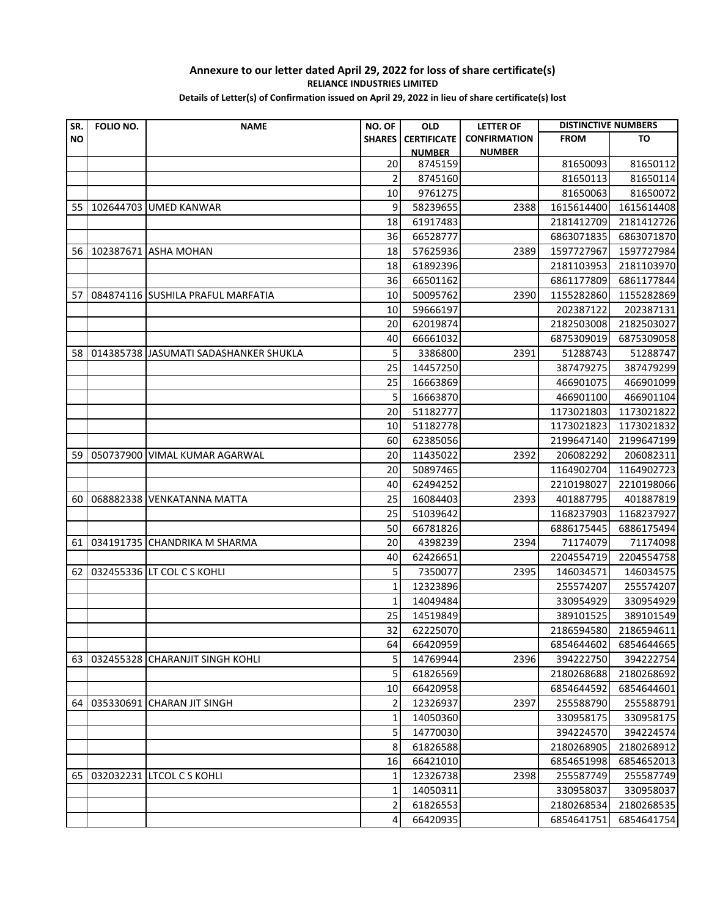#### **Annexure to our letter dated April 29, 2022 for loss of share certificate(s) RELIANCE INDUSTRIES LIMITED Details of Letter(s) of Confirmation issued on April 29, 2022 in lieu of share certificate(s) lost**

| SR.       | FOLIO NO. | <b>NAME</b>                           | NO. OF         | <b>OLD</b>           | <b>LETTER OF</b>    | <b>DISTINCTIVE NUMBERS</b> |                        |
|-----------|-----------|---------------------------------------|----------------|----------------------|---------------------|----------------------------|------------------------|
| <b>NO</b> |           |                                       | <b>SHARES</b>  | <b>CERTIFICATE</b>   | <b>CONFIRMATION</b> | <b>FROM</b>                | TO                     |
|           |           |                                       |                | <b>NUMBER</b>        | <b>NUMBER</b>       |                            |                        |
|           |           |                                       | 20             | 8745159              |                     | 81650093                   | 81650112               |
|           |           |                                       | 2              | 8745160              |                     | 81650113                   | 81650114               |
|           |           |                                       | 10             | 9761275              |                     | 81650063                   | 81650072               |
| 55        |           | 102644703 UMED KANWAR                 | 9              | 58239655             | 2388                | 1615614400                 | 1615614408             |
|           |           |                                       | 18             | 61917483             |                     | 2181412709                 | 2181412726             |
|           |           |                                       | 36             | 66528777             |                     | 6863071835                 | 6863071870             |
| 56        |           | 102387671 ASHA MOHAN                  | 18             | 57625936             | 2389                | 1597727967                 | 1597727984             |
|           |           |                                       | 18             | 61892396             |                     | 2181103953                 | 2181103970             |
|           |           |                                       | 36             | 66501162             |                     | 6861177809                 | 6861177844             |
| 57        |           | 084874116 SUSHILA PRAFUL MARFATIA     | 10             | 50095762             | 2390                | 1155282860                 | 1155282869             |
|           |           |                                       | 10             | 59666197             |                     | 202387122                  | 202387131              |
|           |           |                                       | 20             | 62019874             |                     | 2182503008                 | 2182503027             |
|           |           |                                       | 40             | 66661032             |                     | 6875309019                 | 6875309058             |
| 58        |           | 014385738 JASUMATI SADASHANKER SHUKLA | 5              | 3386800              | 2391                | 51288743                   | 51288747               |
|           |           |                                       | 25<br>25       | 14457250<br>16663869 |                     | 387479275<br>466901075     | 387479299<br>466901099 |
|           |           |                                       | 5              | 16663870             |                     | 466901100                  | 466901104              |
|           |           |                                       | 20             | 51182777             |                     | 1173021803                 | 1173021822             |
|           |           |                                       | 10             | 51182778             |                     | 1173021823                 | 1173021832             |
|           |           |                                       | 60             | 62385056             |                     | 2199647140                 | 2199647199             |
| 59        |           | 050737900 VIMAL KUMAR AGARWAL         | 20             | 11435022             | 2392                | 206082292                  | 206082311              |
|           |           |                                       | 20             | 50897465             |                     | 1164902704                 | 1164902723             |
|           |           |                                       | 40             | 62494252             |                     | 2210198027                 | 2210198066             |
| 60        |           | 068882338 VENKATANNA MATTA            | 25             | 16084403             | 2393                | 401887795                  | 401887819              |
|           |           |                                       | 25             | 51039642             |                     | 1168237903                 | 1168237927             |
|           |           |                                       | 50             | 66781826             |                     | 6886175445                 | 6886175494             |
| 61        |           | 034191735 CHANDRIKA M SHARMA          | 20             | 4398239              | 2394                | 71174079                   | 71174098               |
|           |           |                                       | 40             | 62426651             |                     | 2204554719                 | 2204554758             |
| 62        |           | 032455336 LT COL C S KOHLI            | 5              | 7350077              | 2395                | 146034571                  | 146034575              |
|           |           |                                       | $\mathbf{1}$   | 12323896             |                     | 255574207                  | 255574207              |
|           |           |                                       | $\mathbf{1}$   | 14049484             |                     | 330954929                  | 330954929              |
|           |           |                                       | 25             | 14519849             |                     | 389101525                  | 389101549              |
|           |           |                                       | 32             | 62225070             |                     | 2186594580                 | 2186594611             |
|           |           |                                       | 64             | 66420959             |                     | 6854644602                 | 6854644665             |
| 63 I      |           | 032455328 CHARANJIT SINGH KOHLI       | 5              | 14769944             | 2396                | 394222750                  | 394222754              |
|           |           |                                       | 5              | 61826569             |                     | 2180268688                 | 2180268692             |
|           |           |                                       | 10             | 66420958             |                     | 6854644592                 | 6854644601             |
| 64        |           | 035330691 CHARAN JIT SINGH            | 2              | 12326937             | 2397                | 255588790                  | 255588791              |
|           |           |                                       | 1              | 14050360             |                     | 330958175                  | 330958175              |
|           |           |                                       | 5              | 14770030             |                     | 394224570                  | 394224574              |
|           |           |                                       | 8              | 61826588             |                     | 2180268905                 | 2180268912             |
|           |           |                                       | 16             | 66421010             |                     | 6854651998                 | 6854652013             |
| 65        |           | 032032231 LTCOL C S KOHLI             | 1              | 12326738             | 2398                | 255587749                  | 255587749              |
|           |           |                                       | 1              | 14050311             |                     | 330958037                  | 330958037              |
|           |           |                                       | $\overline{2}$ | 61826553             |                     | 2180268534                 | 2180268535             |
|           |           |                                       | 4              | 66420935             |                     | 6854641751                 | 6854641754             |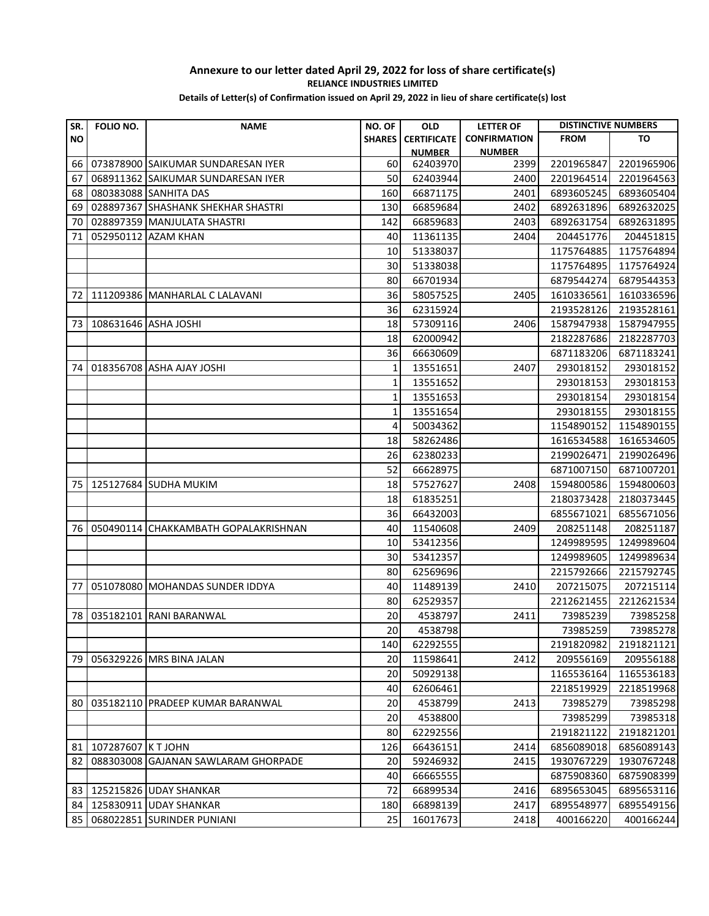| SR.       | FOLIO NO. | <b>NAME</b>                          | NO. OF        | <b>OLD</b>         | <b>LETTER OF</b>    | <b>DISTINCTIVE NUMBERS</b> |            |
|-----------|-----------|--------------------------------------|---------------|--------------------|---------------------|----------------------------|------------|
| <b>NO</b> |           |                                      | <b>SHARES</b> | <b>CERTIFICATE</b> | <b>CONFIRMATION</b> | <b>FROM</b>                | то         |
|           |           |                                      |               | <u>NUMBER</u>      | <b>NUMBER</b>       |                            |            |
| 66        |           | 073878900 SAIKUMAR SUNDARESAN IYER   | 60            | 62403970           | 2399                | 2201965847                 | 2201965906 |
| 67        |           | 068911362 SAIKUMAR SUNDARESAN IYER   | 50            | 62403944           | 2400                | 2201964514                 | 2201964563 |
| 68        |           | 080383088 SANHITA DAS                | 160           | 66871175           | 2401                | 6893605245                 | 6893605404 |
| 69        |           | 028897367 SHASHANK SHEKHAR SHASTRI   | 130           | 66859684           | 2402                | 6892631896                 | 6892632025 |
| 70        |           | 028897359 MANJULATA SHASTRI          | 142           | 66859683           | 2403                | 6892631754                 | 6892631895 |
| 71        |           | 052950112 AZAM KHAN                  | 40            | 11361135           | 2404                | 204451776                  | 204451815  |
|           |           |                                      | 10            | 51338037           |                     | 1175764885                 | 1175764894 |
|           |           |                                      | 30            | 51338038           |                     | 1175764895                 | 1175764924 |
|           |           |                                      | 80            | 66701934           |                     | 6879544274                 | 6879544353 |
| 72        |           | 111209386 MANHARLAL C LALAVANI       | 36            | 58057525           | 2405                | 1610336561                 | 1610336596 |
|           |           |                                      | 36            | 62315924           |                     | 2193528126                 | 2193528161 |
| 73        |           | 108631646 ASHA JOSHI                 | 18            | 57309116           | 2406                | 1587947938                 | 1587947955 |
|           |           |                                      | 18            | 62000942           |                     | 2182287686                 | 2182287703 |
|           |           |                                      | 36            | 66630609           |                     | 6871183206                 | 6871183241 |
| 74        |           | 018356708 ASHA AJAY JOSHI            | 1             | 13551651           | 2407                | 293018152                  | 293018152  |
|           |           |                                      | 1             | 13551652           |                     | 293018153                  | 293018153  |
|           |           |                                      | $\mathbf{1}$  | 13551653           |                     | 293018154                  | 293018154  |
|           |           |                                      | $\mathbf{1}$  | 13551654           |                     | 293018155                  | 293018155  |
|           |           |                                      | 4             | 50034362           |                     | 1154890152                 | 1154890155 |
|           |           |                                      | 18            | 58262486           |                     | 1616534588                 | 1616534605 |
|           |           |                                      | 26            | 62380233           |                     | 2199026471                 | 2199026496 |
|           |           |                                      | 52            | 66628975           |                     | 6871007150                 | 6871007201 |
| 75        |           | 125127684 SUDHA MUKIM                | 18            | 57527627           | 2408                | 1594800586                 | 1594800603 |
|           |           |                                      | 18            | 61835251           |                     | 2180373428                 | 2180373445 |
|           |           |                                      | 36            | 66432003           |                     | 6855671021                 | 6855671056 |
| 76        |           | 050490114 CHAKKAMBATH GOPALAKRISHNAN | 40            | 11540608           | 2409                | 208251148                  | 208251187  |
|           |           |                                      | 10            | 53412356           |                     | 1249989595                 | 1249989604 |
|           |           |                                      | 30            | 53412357           |                     | 1249989605                 | 1249989634 |
|           |           |                                      | 80            | 62569696           |                     | 2215792666                 | 2215792745 |
| 77        |           | 051078080 MOHANDAS SUNDER IDDYA      | 40            | 11489139           | 2410                | 207215075                  | 207215114  |
|           |           |                                      | 80            | 62529357           |                     | 2212621455                 | 2212621534 |
| 78        | 035182101 | <b>RANI BARANWAL</b>                 | 20            | 4538797            | 2411                | 73985239                   | 73985258   |
|           |           |                                      | 20            | 4538798            |                     | 73985259                   | 73985278   |
|           |           |                                      | 140           | 62292555           |                     | 2191820982                 | 2191821121 |
| 79        |           | 056329226 MRS BINA JALAN             | 20            | 11598641           | 2412                | 209556169                  | 209556188  |
|           |           |                                      | 20            | 50929138           |                     | 1165536164                 | 1165536183 |
|           |           |                                      | 40            | 62606461           |                     | 2218519929                 | 2218519968 |
| 80        |           | 035182110 PRADEEP KUMAR BARANWAL     | 20            | 4538799            | 2413                | 73985279                   | 73985298   |
|           |           |                                      | 20            | 4538800            |                     | 73985299                   | 73985318   |
|           |           |                                      | 80            | 62292556           |                     | 2191821122                 | 2191821201 |
| 81        | 107287607 | <b>K T JOHN</b>                      | 126           | 66436151           | 2414                | 6856089018                 | 6856089143 |
| 82        |           | 088303008 GAJANAN SAWLARAM GHORPADE  | 20            | 59246932           | 2415                | 1930767229                 | 1930767248 |
|           |           |                                      | 40            | 66665555           |                     | 6875908360                 | 6875908399 |
| 83        |           | 125215826 UDAY SHANKAR               | 72            | 66899534           | 2416                | 6895653045                 | 6895653116 |
| 84        |           | 125830911 UDAY SHANKAR               | 180           | 66898139           | 2417                | 6895548977                 | 6895549156 |
| 85        |           | 068022851 SURINDER PUNIANI           | 25            | 16017673           | 2418                | 400166220                  | 400166244  |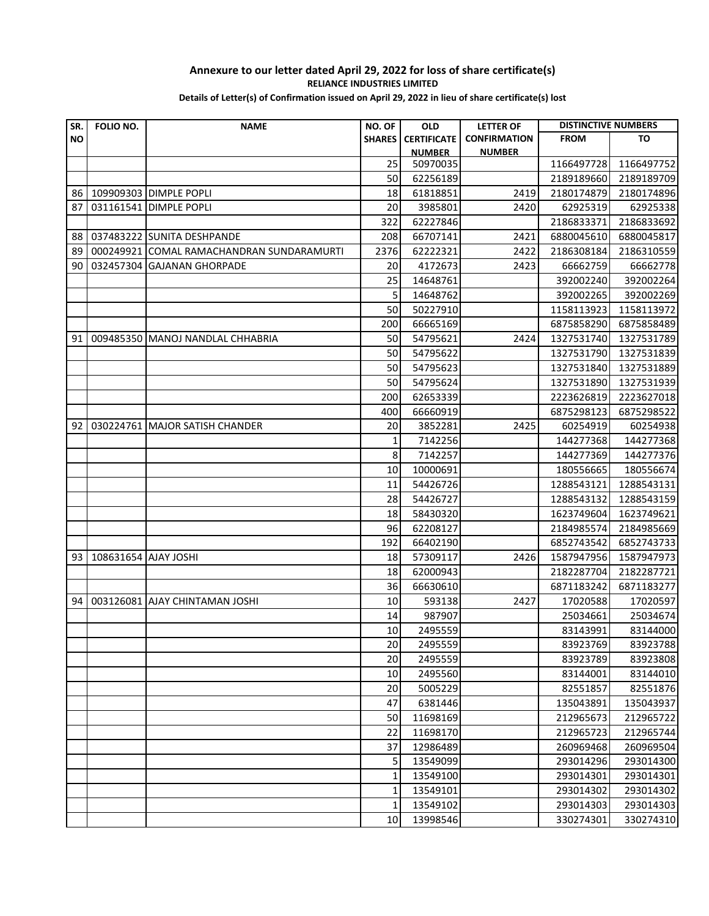| SR.       | FOLIO NO.            | <b>NAME</b>                      | NO. OF        | <b>OLD</b>           | <b>LETTER OF</b>    | <b>DISTINCTIVE NUMBERS</b> |                      |
|-----------|----------------------|----------------------------------|---------------|----------------------|---------------------|----------------------------|----------------------|
| <b>NO</b> |                      |                                  | <b>SHARES</b> | <b>CERTIFICATE</b>   | <b>CONFIRMATION</b> | <b>FROM</b>                | то                   |
|           |                      |                                  |               | <b>NUMBER</b>        | <b>NUMBER</b>       |                            |                      |
|           |                      |                                  | 25            | 50970035             |                     | 1166497728                 | 1166497752           |
|           |                      |                                  | 50            | 62256189             |                     | 2189189660                 | 2189189709           |
| 86        |                      | 109909303 DIMPLE POPLI           | 18            | 61818851             | 2419                | 2180174879                 | 2180174896           |
| 87        |                      | 031161541 DIMPLE POPLI           | 20            | 3985801              | 2420                | 62925319                   | 62925338             |
|           |                      |                                  | 322           | 62227846             |                     | 2186833371                 | 2186833692           |
| 88        |                      | 037483222 SUNITA DESHPANDE       | 208           | 66707141             | 2421                | 6880045610                 | 6880045817           |
| 89        | 000249921            | COMAL RAMACHANDRAN SUNDARAMURTI  | 2376          | 62222321             | 2422                | 2186308184                 | 2186310559           |
| 90        |                      | 032457304 GAJANAN GHORPADE       | 20            | 4172673              | 2423                | 66662759                   | 66662778             |
|           |                      |                                  | 25            | 14648761             |                     | 392002240                  | 392002264            |
|           |                      |                                  | 5             | 14648762             |                     | 392002265                  | 392002269            |
|           |                      |                                  | 50            | 50227910             |                     | 1158113923                 | 1158113972           |
|           |                      |                                  | 200           | 66665169             |                     | 6875858290                 | 6875858489           |
| 91        |                      | 009485350 MANOJ NANDLAL CHHABRIA | 50            | 54795621             | 2424                | 1327531740                 | 1327531789           |
|           |                      |                                  | 50            | 54795622             |                     | 1327531790                 | 1327531839           |
|           |                      |                                  | 50            | 54795623             |                     | 1327531840                 | 1327531889           |
|           |                      |                                  | 50            | 54795624             |                     | 1327531890                 | 1327531939           |
|           |                      |                                  | 200           | 62653339             |                     | 2223626819                 | 2223627018           |
|           |                      |                                  | 400           | 66660919             |                     | 6875298123                 | 6875298522           |
| 92        |                      | 030224761 MAJOR SATISH CHANDER   | 20            | 3852281              | 2425                | 60254919                   | 60254938             |
|           |                      |                                  | $\mathbf{1}$  | 7142256              |                     | 144277368                  | 144277368            |
|           |                      |                                  | 8             | 7142257              |                     | 144277369                  | 144277376            |
|           |                      |                                  | 10            | 10000691             |                     | 180556665                  | 180556674            |
|           |                      |                                  | 11            | 54426726             |                     | 1288543121                 | 1288543131           |
|           |                      |                                  | 28            | 54426727             |                     | 1288543132                 | 1288543159           |
|           |                      |                                  | 18            | 58430320             |                     | 1623749604                 | 1623749621           |
|           |                      |                                  | 96            | 62208127             |                     | 2184985574                 | 2184985669           |
|           |                      |                                  | 192           | 66402190             |                     | 6852743542                 | 6852743733           |
| 93        | 108631654 AJAY JOSHI |                                  | 18            | 57309117             | 2426                | 1587947956                 | 1587947973           |
|           |                      |                                  | 18            | 62000943             |                     | 2182287704                 | 2182287721           |
|           |                      |                                  | 36            | 66630610             |                     | 6871183242                 | 6871183277           |
| 94        |                      | 003126081 AJAY CHINTAMAN JOSHI   | 10            | 593138               | 2427                | 17020588                   | 17020597             |
|           |                      |                                  | 14<br>10      | 987907               |                     | 25034661                   | 25034674             |
|           |                      |                                  |               | 2495559<br>2495559   |                     | 83143991<br>83923769       | 83144000<br>83923788 |
|           |                      |                                  | 20<br>20      |                      |                     |                            |                      |
|           |                      |                                  | 10            | 2495559              |                     | 83923789                   | 83923808             |
|           |                      |                                  | 20            | 2495560<br>5005229   |                     | 83144001<br>82551857       | 83144010<br>82551876 |
|           |                      |                                  | 47            | 6381446              |                     | 135043891                  | 135043937            |
|           |                      |                                  | 50            |                      |                     |                            | 212965722            |
|           |                      |                                  | 22            | 11698169<br>11698170 |                     | 212965673<br>212965723     | 212965744            |
|           |                      |                                  | 37            | 12986489             |                     | 260969468                  | 260969504            |
|           |                      |                                  | 5             | 13549099             |                     | 293014296                  | 293014300            |
|           |                      |                                  | $\mathbf{1}$  | 13549100             |                     | 293014301                  | 293014301            |
|           |                      |                                  | 1             | 13549101             |                     | 293014302                  | 293014302            |
|           |                      |                                  | 1             | 13549102             |                     | 293014303                  | 293014303            |
|           |                      |                                  | 10            | 13998546             |                     | 330274301                  | 330274310            |
|           |                      |                                  |               |                      |                     |                            |                      |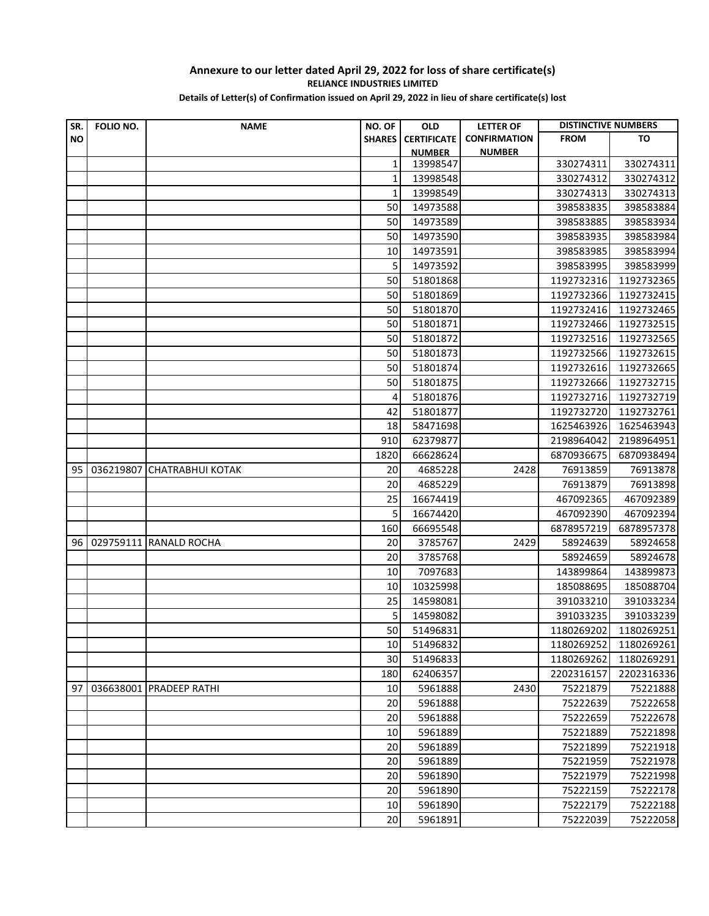#### **Annexure to our letter dated April 29, 2022 for loss of share certificate(s) RELIANCE INDUSTRIES LIMITED Details of Letter(s) of Confirmation issued on April 29, 2022 in lieu of share certificate(s) lost**

| SR.       | FOLIO NO. | <b>NAME</b>             | NO. OF        | <b>OLD</b>         | <b>LETTER OF</b>    | <b>DISTINCTIVE NUMBERS</b> |                       |
|-----------|-----------|-------------------------|---------------|--------------------|---------------------|----------------------------|-----------------------|
| <b>NO</b> |           |                         | <b>SHARES</b> | <b>CERTIFICATE</b> | <b>CONFIRMATION</b> | <b>FROM</b>                | TO                    |
|           |           |                         |               | <b>NUMBER</b>      | <b>NUMBER</b>       |                            |                       |
|           |           |                         | 1             | 13998547           |                     | 330274311                  | 330274311             |
|           |           |                         | 1             | 13998548           |                     | 330274312                  | 330274312             |
|           |           |                         | 1             | 13998549           |                     | 330274313                  | 330274313             |
|           |           |                         | 50            | 14973588           |                     | 398583835                  | 398583884             |
|           |           |                         | 50            | 14973589           |                     | 398583885                  | 398583934             |
|           |           |                         | 50            | 14973590           |                     | 398583935                  | 398583984             |
|           |           |                         | 10            | 14973591           |                     | 398583985                  | 398583994             |
|           |           |                         | 5             | 14973592           |                     | 398583995                  | 398583999             |
|           |           |                         | 50            | 51801868           |                     | 1192732316                 | 1192732365            |
|           |           |                         | 50            | 51801869           |                     | 1192732366                 | 1192732415            |
|           |           |                         | 50            | 51801870           |                     | 1192732416                 | 1192732465            |
|           |           |                         | 50            | 51801871           |                     | 1192732466                 | 1192732515            |
|           |           |                         | 50            | 51801872           |                     | 1192732516                 | 1192732565            |
|           |           |                         | 50            | 51801873           |                     | 1192732566                 | 1192732615            |
|           |           |                         | 50            | 51801874           |                     | 1192732616                 | 1192732665            |
|           |           |                         | 50            | 51801875           |                     | 1192732666                 | 1192732715            |
|           |           |                         | 4             | 51801876           |                     | 1192732716                 | 1192732719            |
|           |           |                         | 42            | 51801877           |                     | 1192732720                 | 1192732761            |
|           |           |                         | 18            | 58471698           |                     | 1625463926                 | 1625463943            |
|           |           |                         | 910           | 62379877           |                     | 2198964042                 | 2198964951            |
|           |           |                         | 1820          | 66628624           |                     | 6870936675                 | 6870938494            |
| 95        | 036219807 | <b>CHATRABHUI KOTAK</b> | 20            | 4685228            | 2428                | 76913859                   | 76913878              |
|           |           |                         | 20            | 4685229            |                     | 76913879                   | 76913898              |
|           |           |                         | 25            | 16674419           |                     | 467092365                  | 467092389             |
|           |           |                         | 5             | 16674420           |                     | 467092390<br>6878957219    | 467092394             |
|           |           |                         | 160           | 66695548           |                     |                            | 6878957378            |
| 96 l      |           | 029759111 RANALD ROCHA  | 20            | 3785767            | 2429                | 58924639                   | 58924658              |
|           |           |                         | 20<br>10      | 3785768<br>7097683 |                     | 58924659<br>143899864      | 58924678<br>143899873 |
|           |           |                         | 10            | 10325998           |                     | 185088695                  | 185088704             |
|           |           |                         | 25            | 14598081           |                     | 391033210                  | 391033234             |
|           |           |                         | 5             | 14598082           |                     | 391033235                  | 391033239             |
|           |           |                         | 50            | 51496831           |                     | 1180269202                 | 1180269251            |
|           |           |                         | 10            | 51496832           |                     | 1180269252                 | 1180269261            |
|           |           |                         | 30            | 51496833           |                     | 1180269262                 | 1180269291            |
|           |           |                         | 180           | 62406357           |                     | 2202316157                 | 2202316336            |
| 97        |           | 036638001 PRADEEP RATHI | 10            | 5961888            | 2430                | 75221879                   | 75221888              |
|           |           |                         | 20            | 5961888            |                     | 75222639                   | 75222658              |
|           |           |                         | 20            | 5961888            |                     | 75222659                   | 75222678              |
|           |           |                         | 10            | 5961889            |                     | 75221889                   | 75221898              |
|           |           |                         | 20            | 5961889            |                     | 75221899                   | 75221918              |
|           |           |                         | 20            | 5961889            |                     | 75221959                   | 75221978              |
|           |           |                         | 20            | 5961890            |                     | 75221979                   | 75221998              |
|           |           |                         | 20            | 5961890            |                     | 75222159                   | 75222178              |
|           |           |                         | 10            | 5961890            |                     | 75222179                   | 75222188              |
|           |           |                         | 20            | 5961891            |                     | 75222039                   | 75222058              |